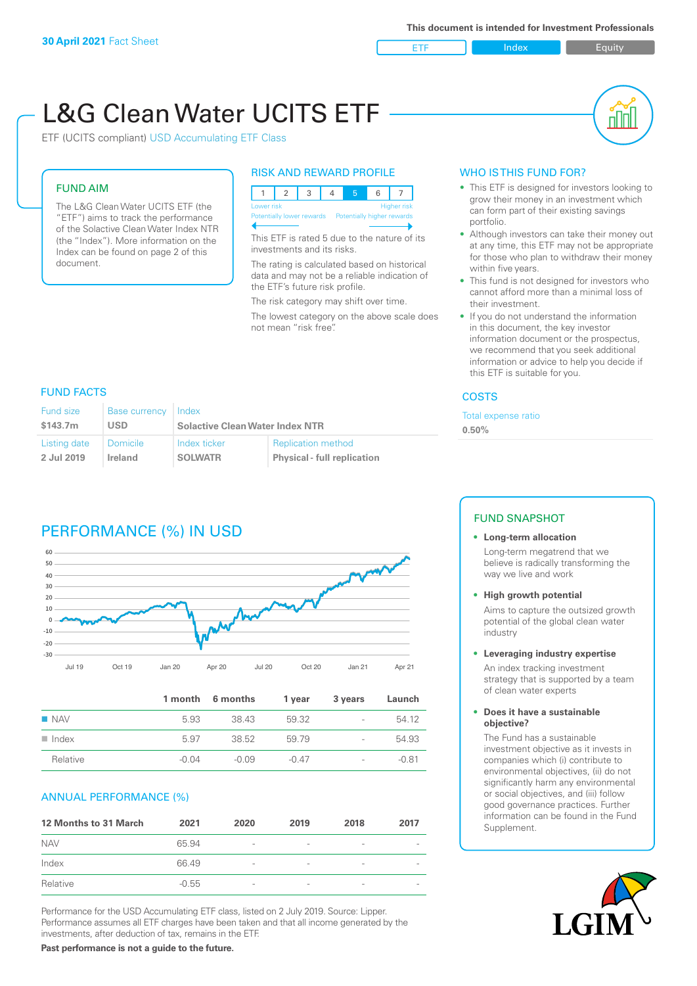

nl M

# L&G Clean Water UCITS ETF

ETF (UCITS compliant) USD Accumulating ETF Class

### FUND AIM

The L&G Clean Water UCITS ETF (the "ETF") aims to track the performance of the Solactive Clean Water Index NTR (the "Index"). More information on the Index can be found on page 2 of this document.

### RISK AND REWARD PROFILE



This ETF is rated 5 due to the nature of its investments and its risks.

The rating is calculated based on historical data and may not be a reliable indication of the ETF's future risk profile.

The risk category may shift over time.

The lowest category on the above scale does not mean "risk free".

### WHO IS THIS FUND FOR?

- This ETF is designed for investors looking to grow their money in an investment which can form part of their existing savings portfolio.
- Although investors can take their money out at any time, this ETF may not be appropriate for those who plan to withdraw their money within five years.
- This fund is not designed for investors who cannot afford more than a minimal loss of their investment.
- If you do not understand the information in this document, the key investor information document or the prospectus, we recommend that you seek additional information or advice to help you decide if this ETF is suitable for you.

### **COSTS**

Total expense ratio

**0.50%**

### FUND FACTS

| Fund size    | <b>Base currency</b> | Index                                  |                                    |  |
|--------------|----------------------|----------------------------------------|------------------------------------|--|
| \$143.7m     | USD                  | <b>Solactive Clean Water Index NTR</b> |                                    |  |
| Listing date | <b>Domicile</b>      | Index ticker                           | <b>Replication method</b>          |  |
| 2 Jul 2019   | Ireland              | <b>SOLWATR</b>                         | <b>Physical - full replication</b> |  |

# PERFORMANCE (%) IN USD



|                      |         | 1 month 6 months | 1 year  | 3 years                  | Launch  |
|----------------------|---------|------------------|---------|--------------------------|---------|
| $\blacksquare$ NAV   | 5.93    | 38.43            | 59.32   | $\overline{\phantom{a}}$ | 54.12   |
| $\blacksquare$ Index | 5.97    | 38.52            | 59 79   | $\overline{a}$           | 54.93   |
| Relative             | $-0.04$ | $-0.09$          | $-0.47$ | $\overline{\phantom{a}}$ | $-0.81$ |

### ANNUAL PERFORMANCE (%)

| 12 Months to 31 March | 2021    | 2020                     | 2019                     | 2018            | 2017   |
|-----------------------|---------|--------------------------|--------------------------|-----------------|--------|
| <b>NAV</b>            | 65.94   | $\overline{\phantom{a}}$ |                          | $\qquad \qquad$ |        |
| Index                 | 66.49   | $\overline{\phantom{a}}$ | -                        | $\qquad \qquad$ |        |
| Relative              | $-0.55$ | $\overline{\phantom{a}}$ | $\overline{\phantom{a}}$ | $\sim$          | $\sim$ |

Performance for the USD Accumulating ETF class, listed on 2 July 2019. Source: Lipper. Performance assumes all ETF charges have been taken and that all income generated by the investments, after deduction of tax, remains in the ETF.

### FUND SNAPSHOT

### **• Long-term allocation**

Long-term megatrend that we believe is radically transforming the way we live and work

**• High growth potential**

Aims to capture the outsized growth potential of the global clean water industry

#### **• Leveraging industry expertise**

An index tracking investment strategy that is supported by a team of clean water experts

#### **• Does it have a sustainable objective?**

The Fund has a sustainable investment objective as it invests in companies which (i) contribute to environmental objectives, (ii) do not significantly harm any environmental or social objectives, and (iii) follow good governance practices. Further information can be found in the Fund Supplement.



**Past performance is not a guide to the future.**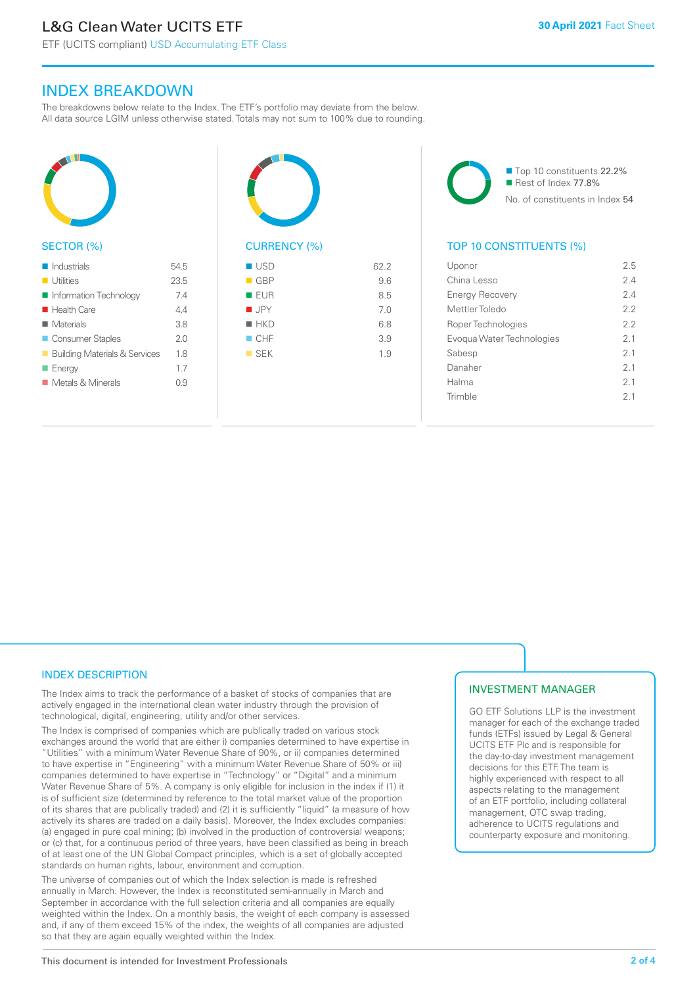ETF (UCITS compliant) USD Accumulating ETF Class

# INDEX BREAKDOWN

The breakdowns below relate to the Index. The ETF's portfolio may deviate from the below. All data source LGIM unless otherwise stated. Totals may not sum to 100% due to rounding.



### SECTOR (%)

| $\blacksquare$ Industrials               | 545  |
|------------------------------------------|------|
| $\blacksquare$ Utilities                 | 23.5 |
| Information Technology                   | 74   |
| $\blacksquare$ Health Care               | 44   |
| $\blacksquare$ Materials                 | 3.8  |
| Consumer Staples                         | 20   |
| <b>Building Materials &amp; Services</b> | 18   |
| $\blacksquare$ Energy                    | 1.7  |
| ■ Metals & Minerals                      | 0.9  |
|                                          |      |



# $\blacksquare$  USD 62.2  $-$  GBP 9.6

| $\blacksquare$ EUR | 8.5 |
|--------------------|-----|
| $\blacksquare$ JPY | 7.0 |
| $H$ HKD            | 6.8 |
| CHF                | 3.9 |
| $\blacksquare$ SEK | 1.9 |
|                    |     |
|                    |     |

■ Top 10 constituents 22.2% Rest of Index 77.8% No. of constituents in Index 54

### TOP 10 CONSTITUENTS (%)

| Uponor                    | 2.5 |
|---------------------------|-----|
| China Lesso               | 24  |
| <b>Energy Recovery</b>    | 24  |
| Mettler Toledo            | 22  |
| Roper Technologies        | 22  |
| Evoqua Water Technologies | 21  |
| Sabesp                    | 21  |
| Danaher                   | 21  |
| Halma                     | 2.1 |
| Trimble                   | 21  |
|                           |     |

### INDEX DESCRIPTION

The Index aims to track the performance of a basket of stocks of companies that are actively engaged in the international clean water industry through the provision of technological, digital, engineering, utility and/or other services.

The Index is comprised of companies which are publically traded on various stock exchanges around the world that are either i) companies determined to have expertise in "Utilities" with a minimum Water Revenue Share of 90%, or ii) companies determined to have expertise in "Engineering" with a minimum Water Revenue Share of 50% or iii) companies determined to have expertise in "Technology" or "Digital" and a minimum Water Revenue Share of 5%. A company is only eligible for inclusion in the index if (1) it is of sufficient size (determined by reference to the total market value of the proportion of its shares that are publically traded) and (2) it is sufficiently "liquid" (a measure of how actively its shares are traded on a daily basis). Moreover, the Index excludes companies: (a) engaged in pure coal mining; (b) involved in the production of controversial weapons; or (c) that, for a continuous period of three years, have been classified as being in breach of at least one of the UN Global Compact principles, which is a set of globally accepted standards on human rights, labour, environment and corruption.

The universe of companies out of which the Index selection is made is refreshed annually in March. However, the Index is reconstituted semi-annually in March and September in accordance with the full selection criteria and all companies are equally weighted within the Index. On a monthly basis, the weight of each company is assessed and, if any of them exceed 15% of the index, the weights of all companies are adjusted so that they are again equally weighted within the Index.

## INVESTMENT MANAGER

GO ETF Solutions LLP is the investment manager for each of the exchange traded funds (ETFs) issued by Legal & General UCITS ETF Plc and is responsible for the day-to-day investment management decisions for this ETF. The team is highly experienced with respect to all aspects relating to the management of an ETF portfolio, including collateral management, OTC swap trading, adherence to UCITS regulations and counterparty exposure and monitoring.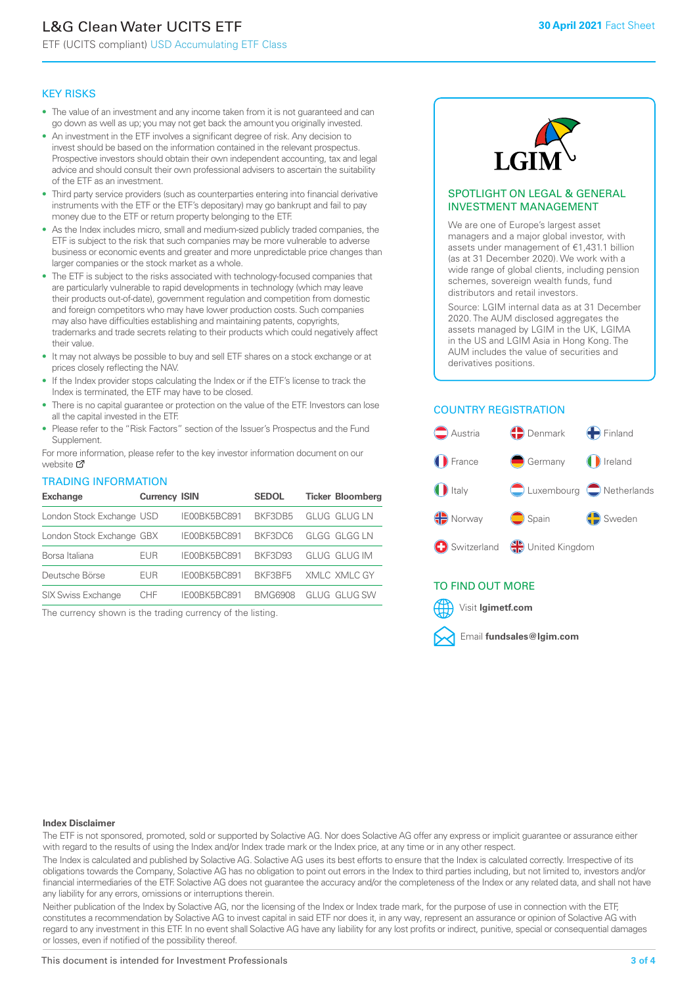# L&G Clean Water UCITS ETF

ETF (UCITS compliant) USD Accumulating ETF Class

### KEY RISKS

- The value of an investment and any income taken from it is not guaranteed and can go down as well as up; you may not get back the amount you originally invested.
- An investment in the ETF involves a significant degree of risk. Any decision to invest should be based on the information contained in the relevant prospectus. Prospective investors should obtain their own independent accounting, tax and legal advice and should consult their own professional advisers to ascertain the suitability of the ETF as an investment.
- Third party service providers (such as counterparties entering into financial derivative instruments with the ETF or the ETF's depositary) may go bankrupt and fail to pay money due to the ETF or return property belonging to the ETF.
- As the Index includes micro, small and medium-sized publicly traded companies, the ETF is subject to the risk that such companies may be more vulnerable to adverse business or economic events and greater and more unpredictable price changes than larger companies or the stock market as a whole.
- The ETF is subject to the risks associated with technology-focused companies that are particularly vulnerable to rapid developments in technology (which may leave their products out-of-date), government regulation and competition from domestic and foreign competitors who may have lower production costs. Such companies may also have difficulties establishing and maintaining patents, copyrights, trademarks and trade secrets relating to their products which could negatively affect their value.
- It may not always be possible to buy and sell ETF shares on a stock exchange or at prices closely reflecting the NAV.
- If the Index provider stops calculating the Index or if the ETF's license to track the Index is terminated, the ETF may have to be closed.
- There is no capital guarantee or protection on the value of the ETF. Investors can lose all the capital invested in the ETF.
- Please refer to the "Risk Factors" section of the Issuer's Prospectus and the Fund Supplement.

For mo[re inf](https://www.lgimetf.com/)ormation, please refer to the key investor information document on our website Ø

### TRADING INFORMATION

| <b>Exchange</b>           | <b>Currency ISIN</b> |              | <b>SEDOL</b>   | <b>Ticker Bloomberg</b> |
|---------------------------|----------------------|--------------|----------------|-------------------------|
| London Stock Exchange USD |                      | IE00BK5BC891 | BKF3DB5        | GLUG GLUG LN            |
| London Stock Exchange GBX |                      | IE00BK5BC891 | BKF3DC6        | <b>GLGG GLGG LN</b>     |
| Borsa Italiana            | EUR                  | IE00BK5BC891 | BKF3D93        | GLUG GLUG IM            |
| Deutsche Börse            | <b>EUR</b>           | IE00BK5BC891 | BKF3BF5        | XMLC XMLC GY            |
| <b>SIX Swiss Exchange</b> | CHF                  | IE00BK5BC891 | <b>BMG6908</b> | GLUG GLUG SW            |

The currency shown is the trading currency of the listing.



### SPOTLIGHT ON LEGAL & GENERAL INVESTMENT MANAGEMENT

We are one of Europe's largest asset managers and a major global investor, with assets under management of €1,431.1 billion (as at 31 December 2020). We work with a wide range of global clients, including pension schemes, sovereign wealth funds, fund distributors and retail investors.

Source: LGIM internal data as at 31 December 2020. The AUM disclosed aggregates the assets managed by LGIM in the UK, LGIMA in the US and LGIM Asia in Hong Kong. The AUM includes the value of securities and derivatives positions.

### COUNTRY REGISTRATION



### TO FIND OUT MORE



#### **Index Disclaimer**

The ETF is not sponsored, promoted, sold or supported by Solactive AG. Nor does Solactive AG offer any express or implicit guarantee or assurance either with regard to the results of using the Index and/or Index trade mark or the Index price, at any time or in any other respect.

The Index is calculated and published by Solactive AG. Solactive AG uses its best efforts to ensure that the Index is calculated correctly. Irrespective of its obligations towards the Company, Solactive AG has no obligation to point out errors in the Index to third parties including, but not limited to, investors and/or financial intermediaries of the ETF. Solactive AG does not guarantee the accuracy and/or the completeness of the Index or any related data, and shall not have any liability for any errors, omissions or interruptions therein.

Neither publication of the Index by Solactive AG, nor the licensing of the Index or Index trade mark, for the purpose of use in connection with the ETF, constitutes a recommendation by Solactive AG to invest capital in said ETF nor does it, in any way, represent an assurance or opinion of Solactive AG with regard to any investment in this ETF. In no event shall Solactive AG have any liability for any lost profits or indirect, punitive, special or consequential damages or losses, even if notified of the possibility thereof.